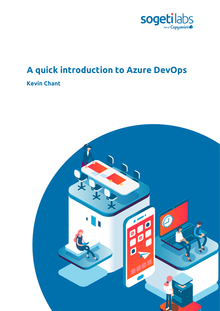

# **A quick introduction to Azure DevOps**

# **Kevin Chant**

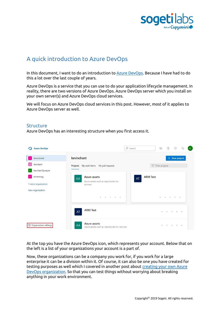

# A quick introduction to Azure DevOps

In this document, I want to do an introduction t[o Azure DevOps.](https://azure.microsoft.com/en-us/services/devops/?WT.mc_id=DP-MVP-5004032) Because I have had to do this a lot over the last couple of years.

Azure DevOps is a service that you can use to do your application lifecycle management. In reality, there are two versions of Azure DevOps. Azure DevOps server which you install on your own server(s) and Azure DevOps cloud services.

We will focus on Azure DevOps cloud services in this post. However, most of it applies to Azure DevOps server as well.

#### **Structure**

Azure DevOps has an interesting structure when you first access it.

| <b>Azure DevOps</b>                                   |                                                                                                                                                         | $O$ Search            | A<br>這                        | $\odot$<br>$P_{\alpha}$   | KC |
|-------------------------------------------------------|---------------------------------------------------------------------------------------------------------------------------------------------------------|-----------------------|-------------------------------|---------------------------|----|
| kevinchant<br>к<br>kevchant<br>kevchantSynapse        | kevinchant<br>Projects My work items My pull requests                                                                                                   |                       | Filter projects               | $+$ New project           |    |
| krctestorg<br>1 more organization<br>New organization | Azure assets<br>AA<br>Azure assets such as repositories for<br>services<br>$\begin{array}{ccccccccccccccccc} 0 & 0 & 0 & 0 & 0 \end{array}$<br>$\alpha$ | <b>ARM Test</b><br>AT | $\circ$<br>$\circ$<br>$\circ$ | $\blacksquare$<br>$\circ$ |    |
|                                                       | <b>ARM Test</b><br>AT                                                                                                                                   |                       | $\alpha$                      | $\alpha$<br>$\alpha$      |    |
| 卷 Organization settings                               | Azure assets<br>AA<br>Azure assets such as repositories for services                                                                                    |                       | a.                            | $\alpha$<br>$\alpha$      |    |

At the top you have the Azure DevOps icon, which represents your account. Below that on the left is a list of your organizations your account is a part of.

Now, these organizations can be a company you work for, if you work for a large enterprise it can be a division within it. Of course, it can also be one you have created for testing purposes as well which I covered in another post about [creating your own Azure](https://www.kevinrchant.com/2020/06/09/t-sql-tuesday-127-create-your-own-azure-devops-organization/)  [DevOps organization.](https://www.kevinrchant.com/2020/06/09/t-sql-tuesday-127-create-your-own-azure-devops-organization/) So that you can test things without worrying about breaking anything in your work environment.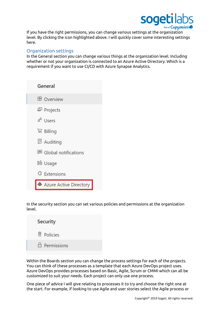

If you have the right permissions, you can change various settings at the organization level. By clicking the icon highlighted above. I will quickly cover some interesting settings here.

## Organization settings

In the General section you can change various things at the organization level. Including whether or not your organization is connected to an Azure Active Directory. Which is a requirement if you want to use CI/CD with Azure Synapse Analytics.

| General                           |
|-----------------------------------|
| <b>B</b> Overview                 |
| 모 Projects                        |
| $x^2$ Users                       |
| ロココン Billing                      |
| <b>图 Auditing</b>                 |
| <sup>■</sup> Global notifications |
| <b>Db</b> Usage                   |
| <sup>{}</sup> Extensions          |
| Azure Active Directory            |

In the security section you can set various policies and permissions at the organization level.

| Security                |
|-------------------------|
| <b>图 Policies</b>       |
| $\triangle$ Permissions |

Within the Boards section you can change the process settings for each of the projects. You can think of these processes as a template that each Azure DevOps project uses. Azure DevOps provides processes based on Basic, Agile, Scrum or CMMI which can all be customized to suit your needs. Each project can only use one process.

One piece of advice I will give relating to processes it to try and choose the right one at the start. For example, if looking to use Agile and user stories select the Agile process or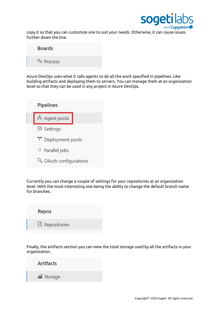

copy it so that you can customize one to suit your needs. Otherwise, it can cause issues further down the line.

| <b>Boards</b>          |
|------------------------|
| <sup>o</sup> o Process |

Azure DevOps uses what it calls agents to do all the work specified in pipelines. Like building artifacts and deploying them to servers. You can manage them at an organization level so that they can be used in any project in Azure DevOps.



Currently you can change a couple of settings for your repositories at an organization level. With the most interesting one being the ability to change the default branch name for branches.



Finally, the artifacts section you can view the total storage used by all the artifacts in your organization.

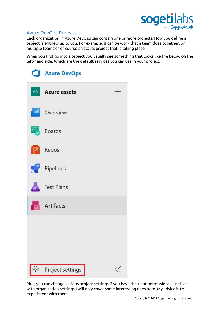

# Azure DevOps Projects

Each organization in Azure DevOps can contain one or more projects. How you define a project is entirely up to you. For example, it can be work that a team does together, or multiple teams or of course an actual project that is taking place.

When you first go into a project you usually see something that looks like the below on the left-hand side. Which are the default services you can use in your project.

|                 | Azure DevOps              |  |
|-----------------|---------------------------|--|
|                 | $^{+}$<br>AA Azure assets |  |
|                 | Overview                  |  |
|                 | <b>Boards</b>             |  |
| $\mathcal{E}$   | Repos                     |  |
|                 | Pipelines                 |  |
|                 | Test Plans                |  |
|                 | <b>Artifacts</b>          |  |
|                 |                           |  |
|                 |                           |  |
|                 |                           |  |
| 50 <sup>2</sup> | Project settings          |  |

Plus, you can change various project settings if you have the right permissions. Just like with organization settings I will only cover some interesting ones here. My advice is to experiment with them.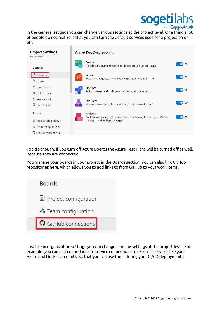

In the General settings you can change various settings at the project level. One thing a lot of people do not realize is that you can turn the default services used for a project on or off.

| <b>Project Settings</b><br>Azure assets                                                                | <b>Azure DevOps services</b> |                                                                                                                             |    |
|--------------------------------------------------------------------------------------------------------|------------------------------|-----------------------------------------------------------------------------------------------------------------------------|----|
| General                                                                                                |                              | <b>Boards</b><br>Flexible agile planning with boards and cross-product issues                                               | On |
| B Overview<br><sup>%</sup> Teams                                                                       |                              | Repos<br>Repos, pull requests, advanced file management and more                                                            | On |
| $A$ Permissions<br><b>同</b> Notifications                                                              |                              | Pipelines<br>Build, manage, and scale your deployments to the cloud                                                         | On |
| Service hooks<br>$\mathscr{D}$<br>$\boxplus$ Dashboards                                                |                              | <b>Test Plans</b><br>Structured manual testing at any scale for teams of all sizes                                          | On |
| <b>Boards</b><br><u>ी</u> Project configuration<br>& Team configuration<br><b>O</b> GitHub connections |                              | <b>Artifacts</b><br>Continuous delivery with artifact feeds containing NuGet, npm, Maven,<br>Universal, and Python packages | On |

Top tip though, if you turn off Azure Boards the Azure Test Plans will be turned off as well. Because they are connected.

You manage your boards in your project in the Boards section. You can also link GitHub repositories here, which allows you to add links to from GitHub to your work items.



Just like in organization settings you can change pipeline settings at the project level. For example, you can add connections to service connections to external services like your Azure and Docker accounts. So that you can use them during your CI/CD deployments.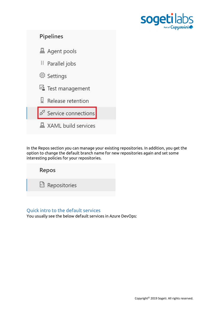



In the Repos section you can manage your existing repositories. In addition, you get the option to change the default branch name for new repositories again and set some interesting policies for your repositories.

Repos B Repositories

# Quick intro to the default services

You usually see the below default services in Azure DevOps: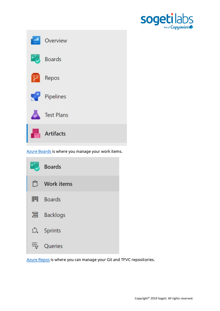



[Azure Boards](https://azure.microsoft.com/en-us/services/devops/boards/?WT.mc_id=DP-MVP-5004032) is where you manage your work items.



[Azure Repos](https://azure.microsoft.com/en-us/services/devops/repos/?WT.mc_id=DP-MVP-5004032) is where you can manage your Git and TFVC repositories.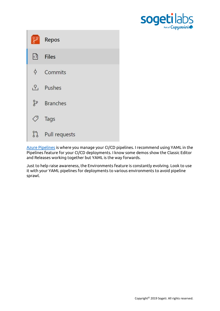

|                  | Repos                         |
|------------------|-------------------------------|
| $ \cdot \rangle$ | <b>Files</b>                  |
|                  | $\phi$ Commits                |
|                  | $P_1$ Pushes                  |
|                  | <b><i><u>Branches</u></i></b> |
| ◇                | Tags                          |
|                  | ใง Pull requests              |

[Azure Pipelines](https://azure.microsoft.com/en-us/services/devops/pipelines/?WT.mc_id=DP-MVP-5004032) is where you manage your CI/CD pipelines. I recommend using YAML in the Pipelines feature for your CI/CD deployments. I know some demos show the Classic Editor and Releases working together but YAML is the way forwards.

Just to help raise awareness, the Environments feature is constantly evolving. Look to use it with your YAML pipelines for deployments to various environments to avoid pipeline sprawl.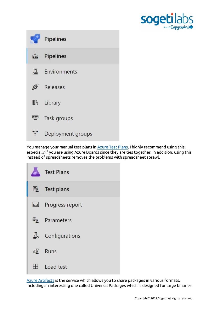



You manage your manual test plans in **Azure Test Plans. I highly recommend using this**, especially if you are using Azure Boards since they are ties together. In addition, using this instead of spreadsheets removes the problems with spreadsheet sprawl.



[Azure Artifacts](https://azure.microsoft.com/en-us/services/devops/artifacts/?WT.mc_id=DP-MVP-5004032) is the service which allows you to share packages in various formats. Including an interesting one called Universal Packages which is designed for large binaries.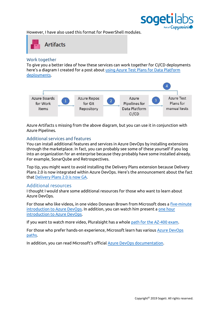

However, I have also used this format for PowerShell modules.



#### Work together

To give you a better idea of how these services can work together for CI/CD deployments here's a diagram I created for a post about [using Azure Test Plans for Data Platform](https://www.kevinrchant.com/2021/07/21/using-azure-test-plans-for-data-platform-deployments/)  [deployments.](https://www.kevinrchant.com/2021/07/21/using-azure-test-plans-for-data-platform-deployments/)



Azure Artifacts s missing from the above diagram, but you can use it in conjunction with Azure Pipelines.

### Additional services and features

You can install additional features and services in Azure DevOps by installing extensions through the marketplace. In fact, you can probably see some of these yourself if you log into an organization for an enterprise because they probably have some installed already. For example, SonarQube and Retrospectives.

Top tip, you might want to avoid installing the Delivery Plans extension because Delivery Plans 2.0 is now integrated within Azure DevOps. Here's the announcement about the fact tha[t Delivery Plans 2.0 is now GA.](https://devblogs.microsoft.com/devops/delivery-plans-2-0-is-now-ga/)

### Additional resources

I thought I would share some additional resources for those who want to learn about Azure DevOps.

For those who like videos, in one video Donavan Brown from Microsoft does a [five-minute](https://www.youtube.com/watch?v=JhqpF-5E10I)  [introduction to Azure DevOps.](https://www.youtube.com/watch?v=JhqpF-5E10I) In addition, you can watch him present a [one hour](https://www.youtube.com/watch?v=yecw2rUlywA)  [introduction to Azure DevOps.](https://www.youtube.com/watch?v=yecw2rUlywA)

If you want to watch more video, Pluralsight has a whole [path for the AZ-400 exam.](https://www.pluralsight.com/paths/designing-and-implementing-microsoft-devops-solutions-az-400)

For those who prefer hands-on experience, Microsoft learn has various [Azure DevOps](https://docs.microsoft.com/en-us/learn/browse/?terms=azure%20devops&resource_type=learning%20path&WT.mc_id=DP-MVP-5004032)  [paths.](https://docs.microsoft.com/en-us/learn/browse/?terms=azure%20devops&resource_type=learning%20path&WT.mc_id=DP-MVP-5004032)

In addition, you can read Microsoft's official [Azure DevOps documentation.](https://docs.microsoft.com/en-us/azure/devops/?view=azure-devops&WT.mc_id=DP-MVP-5004032)